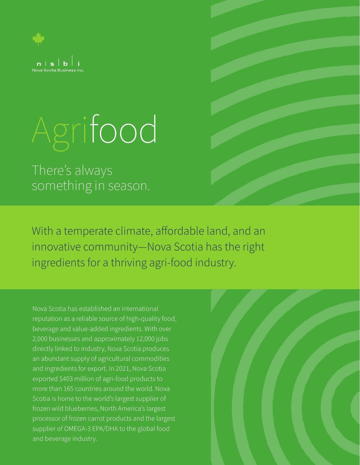

# Agrifood

There's always something in season.

With a temperate climate, affordable land, and an innovative community—Nova Scotia has the right ingredients for a thriving agri-food industry.

Nova Scotia has established an international reputation as a reliable source of high-quality food, beverage and value-added ingredients. With over 2,000 businesses and approximately 12,000 jobs directly linked to industry, Nova Scotia produces an abundant supply of agricultural commodities and ingredients for export. In 2021, Nova Scotia exported \$403 million of agri-food products to more than 165 countries around the world. Nova Scotia is home to the world's largest supplier of frozen wild blueberries, North America's largest processor of frozen carrot products and the largest supplier of OMEGA-3 EPA/DHA to the global food and beverage industry.